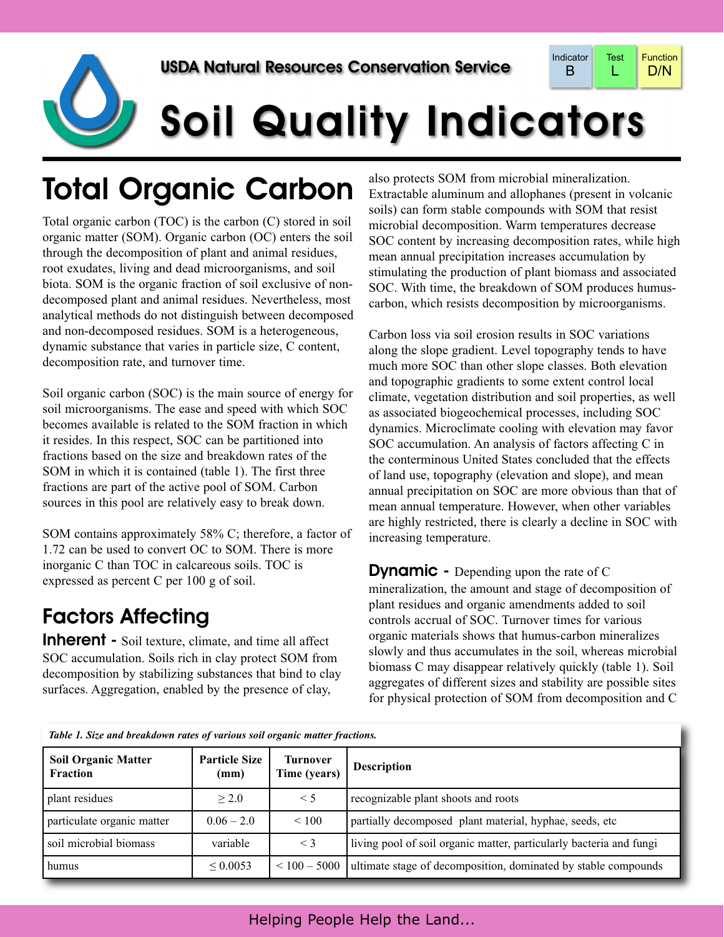

# Soil Quality Indicators

## Total Organic Carbon

Total organic carbon (TOC) is the carbon (C) stored in soil organic matter (SOM). Organic carbon (OC) enters the soil through the decomposition of plant and animal residues, root exudates, living and dead microorganisms, and soil biota. SOM is the organic fraction of soil exclusive of nondecomposed plant and animal residues. Nevertheless, most analytical methods do not distinguish between decomposed and non-decomposed residues. SOM is a heterogeneous, dynamic substance that varies in particle size, C content, decomposition rate, and turnover time.

Soil organic carbon (SOC) is the main source of energy for soil microorganisms. The ease and speed with which SOC becomes available is related to the SOM fraction in which it resides. In this respect, SOC can be partitioned into fractions based on the size and breakdown rates of the SOM in which it is contained (table 1). The first three fractions are part of the active pool of SOM. Carbon sources in this pool are relatively easy to break down.

SOM contains approximately 58% C; therefore, a factor of 1.72 can be used to convert OC to SOM. There is more inorganic C than TOC in calcareous soils. TOC is expressed as percent C per 100 g of soil.

#### Factors Affecting

**Inherent** - Soil texture, climate, and time all affect SOC accumulation. Soils rich in clay protect SOM from decomposition by stabilizing substances that bind to clay surfaces. Aggregation, enabled by the presence of clay,

also protects SOM from microbial mineralization. Extractable aluminum and allophanes (present in volcanic soils) can form stable compounds with SOM that resist microbial decomposition. Warm temperatures decrease SOC content by increasing decomposition rates, while high mean annual precipitation increases accumulation by stimulating the production of plant biomass and associated SOC. With time, the breakdown of SOM produces humuscarbon, which resists decomposition by microorganisms.

Carbon loss via soil erosion results in SOC variations along the slope gradient. Level topography tends to have much more SOC than other slope classes. Both elevation and topographic gradients to some extent control local climate, vegetation distribution and soil properties, as well as associated biogeochemical processes, including SOC dynamics. Microclimate cooling with elevation may favor SOC accumulation. An analysis of factors affecting C in the conterminous United States concluded that the effects of land use, topography (elevation and slope), and mean annual precipitation on SOC are more obvious than that of mean annual temperature. However, when other variables are highly restricted, there is clearly a decline in SOC with increasing temperature.

**Dynamic** - Depending upon the rate of C mineralization, the amount and stage of decomposition of plant residues and organic amendments added to soil controls accrual of SOC. Turnover times for various organic materials shows that humus-carbon mineralizes slowly and thus accumulates in the soil, whereas microbial biomass C may disappear relatively quickly (table 1). Soil aggregates of different sizes and stability are possible sites for physical protection of SOM from decomposition and C

| Table 1, Size and breakdown rates of various soll organic matter fractions. |                              |                          |                                                                     |
|-----------------------------------------------------------------------------|------------------------------|--------------------------|---------------------------------------------------------------------|
| <b>Soil Organic Matter</b><br><b>Fraction</b>                               | <b>Particle Size</b><br>(mm) | Turnover<br>Time (years) | <b>Description</b>                                                  |
| plant residues                                                              | > 2.0                        | $\leq 5$                 | recognizable plant shoots and roots                                 |
| particulate organic matter                                                  | $0.06 - 2.0$                 | ${}< 100$                | partially decomposed plant material, hyphae, seeds, etc             |
| soil microbial biomass                                                      | variable                     | $\leq$ 3                 | living pool of soil organic matter, particularly bacteria and fungi |
| humus                                                                       | ${}< 0.0053$                 | $\leq 100 - 5000$        | ultimate stage of decomposition, dominated by stable compounds      |

*Table 1. Size and breakdown rates of various soil organic matter fractions.*

Helping People Help the Land...